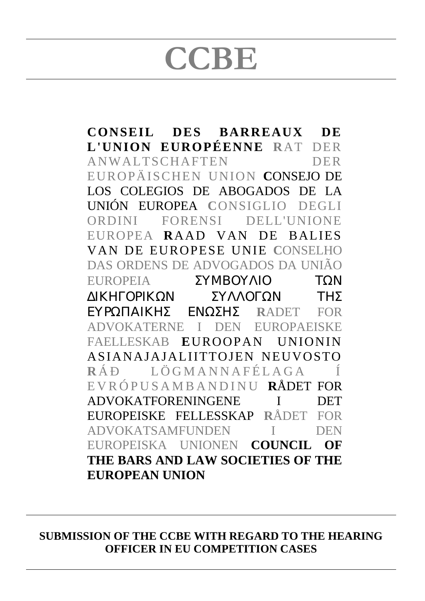# $CCBE$

**CONSEIL DES BARREAUX DE L'UNION EUROPÉENNE R**AT DER ANWALTSCHAFTEN DER EUROPÄISCHEN UNION **C**ONSEJO DE LOS COLEGIOS DE ABOGADOS DE LA UNIÓN EUROPEA **C**ONSIGLIO DEGLI ORDINI FORENSI DELL'UNIONE EUROPEA **R**AAD VAN DE BALIES VAN DE EUROPESE UNIE **C**ONSELHO DAS ORDENS DE ADVOGADOS DA UNIÃO EUROPEIA ΣΥΜΒΟΥΛΙΟ ΤΩΝ ∆ΙΚΗΓΟΡΙΚΩΝ ΣΥΛΛΟΓΩΝ ΤΗΣ ΕΥΡΩΠΑΙΚΗΣ ΕΝΩΣΗΣ **R**ADET FOR ADVOKATERNE I DEN EUROPAEISKE FAELLESKAB **E**UROOPAN UNIONIN ASIANAJAJALIITTOJEN NEUVOSTO **R** ÁÐ LÖGMANNAFÉLAGA Í EVRÓPUSAMBANDINU **R**ÅDET FOR ADVOKATFORENINGENE I DET EUROPEISKE FELLESSKAP **R**ÅDET FOR ADVOKATSAMFUNDEN I DEN EUROPEISKA UNIONEN **COUNCIL OF THE BARS AND LAW SOCIETIES OF THE EUROPEAN UNION**

**SUBMISSION OF THE CCBE WITH REGARD TO THE HEARING OFFICER IN EU COMPETITION CASES**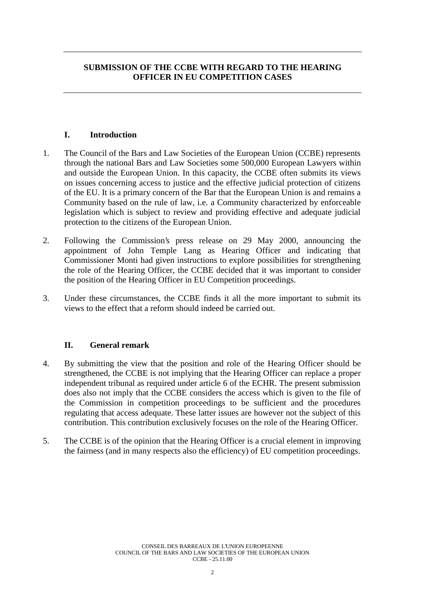## **SUBMISSION OF THE CCBE WITH REGARD TO THE HEARING OFFICER IN EU COMPETITION CASES**

### **I. Introduction**

- 1. The Council of the Bars and Law Societies of the European Union (CCBE) represents through the national Bars and Law Societies some 500,000 European Lawyers within and outside the European Union. In this capacity, the CCBE often submits its views on issues concerning access to justice and the effective judicial protection of citizens of the EU. It is a primary concern of the Bar that the European Union is and remains a Community based on the rule of law, i.e. a Community characterized by enforceable legislation which is subject to review and providing effective and adequate judicial protection to the citizens of the European Union.
- 2. Following the Commission's press release on 29 May 2000, announcing the appointment of John Temple Lang as Hearing Officer and indicating that Commissioner Monti had given instructions to explore possibilities for strengthening the role of the Hearing Officer, the CCBE decided that it was important to consider the position of the Hearing Officer in EU Competition proceedings.
- 3. Under these circumstances, the CCBE finds it all the more important to submit its views to the effect that a reform should indeed be carried out.

## **II. General remark**

- 4. By submitting the view that the position and role of the Hearing Officer should be strengthened, the CCBE is not implying that the Hearing Officer can replace a proper independent tribunal as required under article 6 of the ECHR. The present submission does also not imply that the CCBE considers the access which is given to the file of the Commission in competition proceedings to be sufficient and the procedures regulating that access adequate. These latter issues are however not the subject of this contribution. This contribution exclusively focuses on the role of the Hearing Officer.
- 5. The CCBE is of the opinion that the Hearing Officer is a crucial element in improving the fairness (and in many respects also the efficiency) of EU competition proceedings.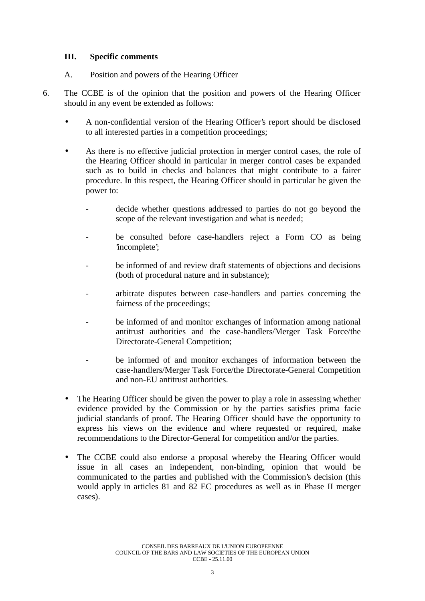#### **III. Specific comments**

- A. Position and powers of the Hearing Officer
- 6. The CCBE is of the opinion that the position and powers of the Hearing Officer should in any event be extended as follows:
	- A non-confidential version of the Hearing Officer's report should be disclosed to all interested parties in a competition proceedings;
	- As there is no effective judicial protection in merger control cases, the role of the Hearing Officer should in particular in merger control cases be expanded such as to build in checks and balances that might contribute to a fairer procedure. In this respect, the Hearing Officer should in particular be given the power to:
		- decide whether questions addressed to parties do not go beyond the scope of the relevant investigation and what is needed;
		- be consulted before case-handlers reject a Form CO as being 'incomplete';
		- be informed of and review draft statements of objections and decisions (both of procedural nature and in substance);
		- arbitrate disputes between case-handlers and parties concerning the fairness of the proceedings;
		- be informed of and monitor exchanges of information among national antitrust authorities and the case-handlers/Merger Task Force/the Directorate-General Competition;
		- be informed of and monitor exchanges of information between the case-handlers/Merger Task Force/the Directorate-General Competition and non-EU antitrust authorities.
	- The Hearing Officer should be given the power to play a role in assessing whether evidence provided by the Commission or by the parties satisfies prima facie judicial standards of proof. The Hearing Officer should have the opportunity to express his views on the evidence and where requested or required, make recommendations to the Director-General for competition and/or the parties.
	- The CCBE could also endorse a proposal whereby the Hearing Officer would issue in all cases an independent, non-binding, opinion that would be communicated to the parties and published with the Commission's decision (this would apply in articles 81 and 82 EC procedures as well as in Phase II merger cases).